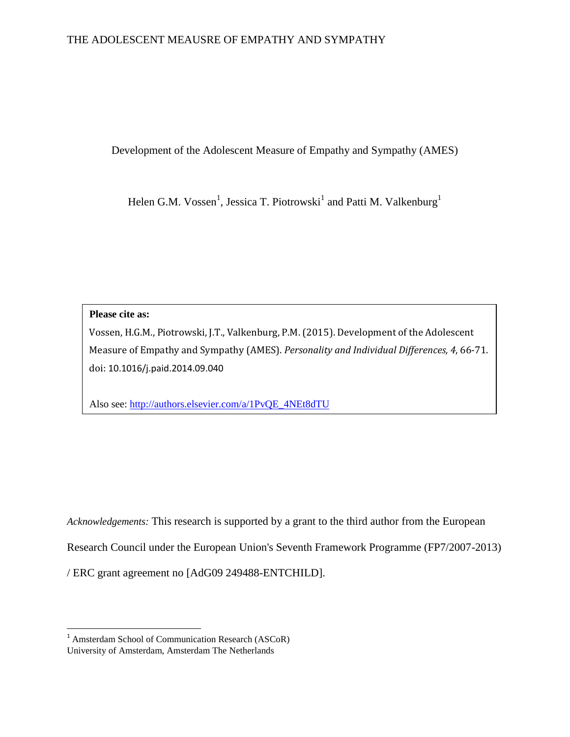Development of the Adolescent Measure of Empathy and Sympathy (AMES)

Helen G.M. Vossen<sup>1</sup>, Jessica T. Piotrowski<sup>1</sup> and Patti M. Valkenburg<sup>1</sup>

**Please cite as:** 

l

Vossen, H.G.M., Piotrowski, J.T., Valkenburg, P.M. (2015). Development of the Adolescent Measure of Empathy and Sympathy (AMES). *Personality and Individual Differences, 4*, 66-71. doi: 10.1016/j.paid.2014.09.040

Also see: [http://authors.elsevier.com/a/1PvQE\\_4NEt8dTU](http://authors.elsevier.com/a/1PvQE_4NEt8dTU)

*Acknowledgements:* This research is supported by a grant to the third author from the European Research Council under the European Union's Seventh Framework Programme (FP7/2007-2013) / ERC grant agreement no [AdG09 249488-ENTCHILD].

<sup>1</sup> Amsterdam School of Communication Research (ASCoR) University of Amsterdam, Amsterdam The Netherlands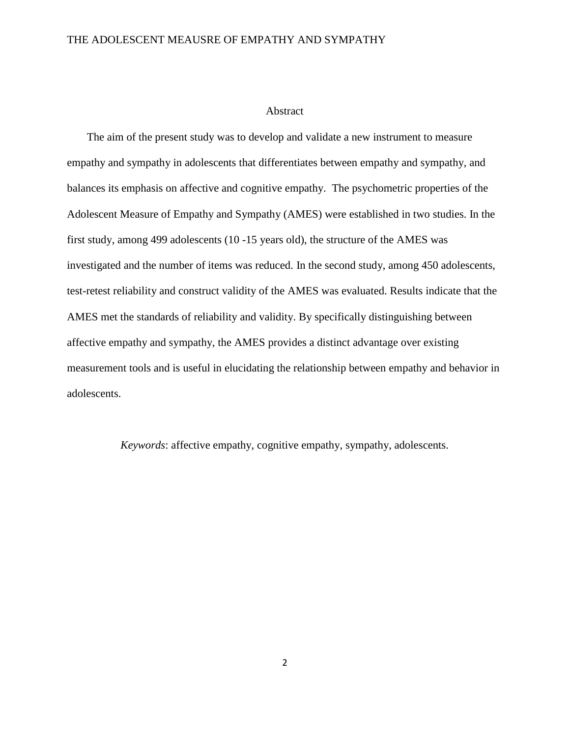#### Abstract

The aim of the present study was to develop and validate a new instrument to measure empathy and sympathy in adolescents that differentiates between empathy and sympathy, and balances its emphasis on affective and cognitive empathy. The psychometric properties of the Adolescent Measure of Empathy and Sympathy (AMES) were established in two studies. In the first study, among 499 adolescents (10 -15 years old), the structure of the AMES was investigated and the number of items was reduced. In the second study, among 450 adolescents, test-retest reliability and construct validity of the AMES was evaluated. Results indicate that the AMES met the standards of reliability and validity. By specifically distinguishing between affective empathy and sympathy, the AMES provides a distinct advantage over existing measurement tools and is useful in elucidating the relationship between empathy and behavior in adolescents.

*Keywords*: affective empathy, cognitive empathy, sympathy, adolescents.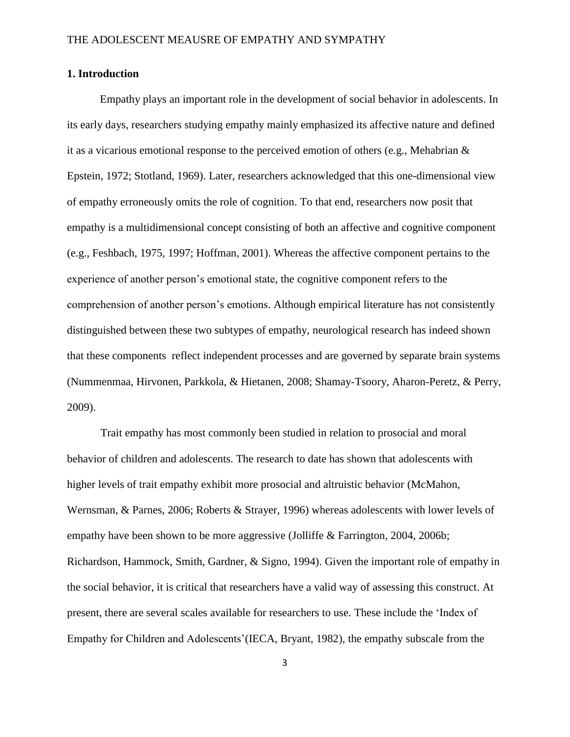# **1. Introduction**

Empathy plays an important role in the development of social behavior in adolescents. In its early days, researchers studying empathy mainly emphasized its affective nature and defined it as a vicarious emotional response to the perceived emotion of others (e.g., Mehabrian & Epstein, 1972; Stotland, 1969). Later, researchers acknowledged that this one-dimensional view of empathy erroneously omits the role of cognition. To that end, researchers now posit that empathy is a multidimensional concept consisting of both an affective and cognitive component (e.g., Feshbach, 1975, 1997; Hoffman, 2001). Whereas the affective component pertains to the experience of another person's emotional state, the cognitive component refers to the comprehension of another person's emotions. Although empirical literature has not consistently distinguished between these two subtypes of empathy, neurological research has indeed shown that these components reflect independent processes and are governed by separate brain systems (Nummenmaa, Hirvonen, Parkkola, & Hietanen, 2008; Shamay-Tsoory, Aharon-Peretz, & Perry, 2009).

Trait empathy has most commonly been studied in relation to prosocial and moral behavior of children and adolescents. The research to date has shown that adolescents with higher levels of trait empathy exhibit more prosocial and altruistic behavior (McMahon, Wernsman, & Parnes, 2006; Roberts & Strayer, 1996) whereas adolescents with lower levels of empathy have been shown to be more aggressive (Jolliffe & Farrington, 2004, 2006b; Richardson, Hammock, Smith, Gardner, & Signo, 1994). Given the important role of empathy in the social behavior, it is critical that researchers have a valid way of assessing this construct. At present, there are several scales available for researchers to use. These include the 'Index of Empathy for Children and Adolescents'(IECA, Bryant, 1982), the empathy subscale from the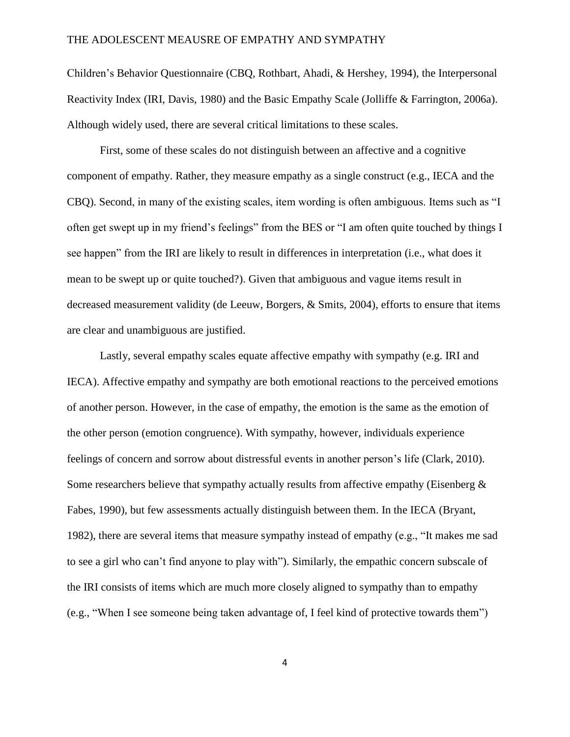Children's Behavior Questionnaire (CBQ, Rothbart, Ahadi, & Hershey, 1994), the Interpersonal Reactivity Index (IRI, Davis, 1980) and the Basic Empathy Scale (Jolliffe & Farrington, 2006a). Although widely used, there are several critical limitations to these scales.

First, some of these scales do not distinguish between an affective and a cognitive component of empathy. Rather, they measure empathy as a single construct (e.g., IECA and the CBQ). Second, in many of the existing scales, item wording is often ambiguous. Items such as "I often get swept up in my friend's feelings" from the BES or "I am often quite touched by things I see happen" from the IRI are likely to result in differences in interpretation (i.e., what does it mean to be swept up or quite touched?). Given that ambiguous and vague items result in decreased measurement validity (de Leeuw, Borgers, & Smits, 2004), efforts to ensure that items are clear and unambiguous are justified.

Lastly, several empathy scales equate affective empathy with sympathy (e.g. IRI and IECA). Affective empathy and sympathy are both emotional reactions to the perceived emotions of another person. However, in the case of empathy, the emotion is the same as the emotion of the other person (emotion congruence). With sympathy, however, individuals experience feelings of concern and sorrow about distressful events in another person's life (Clark, 2010). Some researchers believe that sympathy actually results from affective empathy (Eisenberg  $\&$ Fabes, 1990), but few assessments actually distinguish between them. In the IECA (Bryant, 1982), there are several items that measure sympathy instead of empathy (e.g., "It makes me sad to see a girl who can't find anyone to play with"). Similarly, the empathic concern subscale of the IRI consists of items which are much more closely aligned to sympathy than to empathy (e.g., "When I see someone being taken advantage of, I feel kind of protective towards them")

4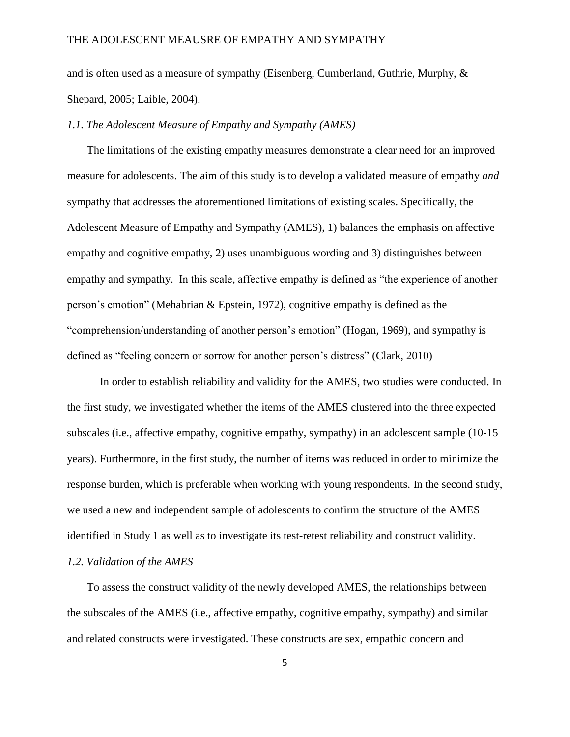and is often used as a measure of sympathy (Eisenberg, Cumberland, Guthrie, Murphy, & Shepard, 2005; Laible, 2004).

#### *1.1. The Adolescent Measure of Empathy and Sympathy (AMES)*

The limitations of the existing empathy measures demonstrate a clear need for an improved measure for adolescents. The aim of this study is to develop a validated measure of empathy *and*  sympathy that addresses the aforementioned limitations of existing scales. Specifically, the Adolescent Measure of Empathy and Sympathy (AMES), 1) balances the emphasis on affective empathy and cognitive empathy, 2) uses unambiguous wording and 3) distinguishes between empathy and sympathy. In this scale, affective empathy is defined as "the experience of another person's emotion" (Mehabrian & Epstein, 1972), cognitive empathy is defined as the "comprehension/understanding of another person's emotion" (Hogan, 1969), and sympathy is defined as "feeling concern or sorrow for another person's distress" (Clark, 2010)

In order to establish reliability and validity for the AMES, two studies were conducted. In the first study, we investigated whether the items of the AMES clustered into the three expected subscales (i.e., affective empathy, cognitive empathy, sympathy) in an adolescent sample (10-15 years). Furthermore, in the first study, the number of items was reduced in order to minimize the response burden, which is preferable when working with young respondents. In the second study, we used a new and independent sample of adolescents to confirm the structure of the AMES identified in Study 1 as well as to investigate its test-retest reliability and construct validity.

# *1.2. Validation of the AMES*

To assess the construct validity of the newly developed AMES, the relationships between the subscales of the AMES (i.e., affective empathy, cognitive empathy, sympathy) and similar and related constructs were investigated. These constructs are sex, empathic concern and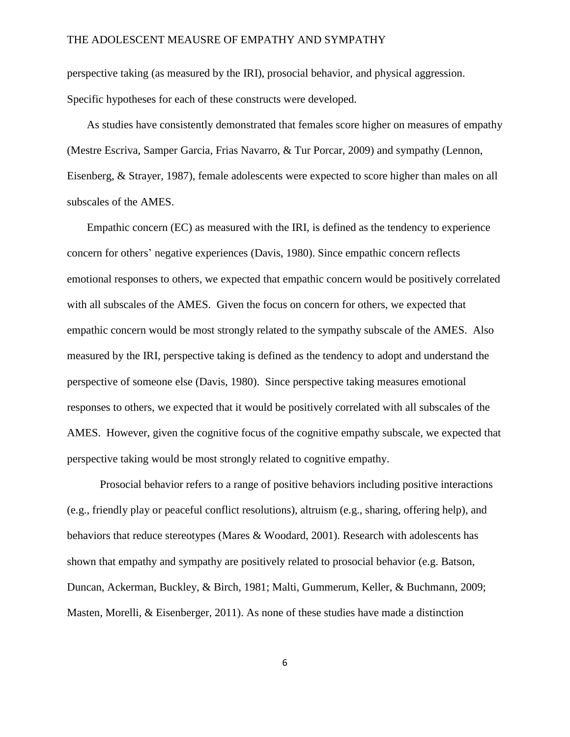perspective taking (as measured by the IRI), prosocial behavior, and physical aggression. Specific hypotheses for each of these constructs were developed.

As studies have consistently demonstrated that females score higher on measures of empathy (Mestre Escriva, Samper Garcia, Frias Navarro, & Tur Porcar, 2009) and sympathy (Lennon, Eisenberg, & Strayer, 1987), female adolescents were expected to score higher than males on all subscales of the AMES.

Empathic concern (EC) as measured with the IRI, is defined as the tendency to experience concern for others' negative experiences (Davis, 1980). Since empathic concern reflects emotional responses to others, we expected that empathic concern would be positively correlated with all subscales of the AMES. Given the focus on concern for others, we expected that empathic concern would be most strongly related to the sympathy subscale of the AMES. Also measured by the IRI, perspective taking is defined as the tendency to adopt and understand the perspective of someone else (Davis, 1980). Since perspective taking measures emotional responses to others, we expected that it would be positively correlated with all subscales of the AMES. However, given the cognitive focus of the cognitive empathy subscale, we expected that perspective taking would be most strongly related to cognitive empathy.

Prosocial behavior refers to a range of positive behaviors including positive interactions (e.g., friendly play or peaceful conflict resolutions), altruism (e.g., sharing, offering help), and behaviors that reduce stereotypes (Mares & Woodard, 2001). Research with adolescents has shown that empathy and sympathy are positively related to prosocial behavior (e.g. Batson, Duncan, Ackerman, Buckley, & Birch, 1981; Malti, Gummerum, Keller, & Buchmann, 2009; Masten, Morelli, & Eisenberger, 2011). As none of these studies have made a distinction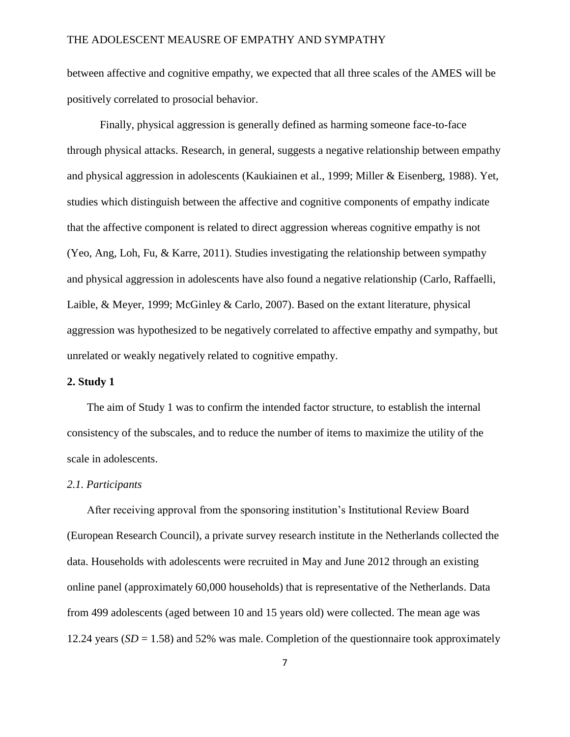between affective and cognitive empathy, we expected that all three scales of the AMES will be positively correlated to prosocial behavior.

Finally, physical aggression is generally defined as harming someone face-to-face through physical attacks. Research, in general, suggests a negative relationship between empathy and physical aggression in adolescents (Kaukiainen et al., 1999; Miller & Eisenberg, 1988). Yet, studies which distinguish between the affective and cognitive components of empathy indicate that the affective component is related to direct aggression whereas cognitive empathy is not (Yeo, Ang, Loh, Fu, & Karre, 2011). Studies investigating the relationship between sympathy and physical aggression in adolescents have also found a negative relationship (Carlo, Raffaelli, Laible, & Meyer, 1999; McGinley & Carlo, 2007). Based on the extant literature, physical aggression was hypothesized to be negatively correlated to affective empathy and sympathy, but unrelated or weakly negatively related to cognitive empathy.

## **2. Study 1**

The aim of Study 1 was to confirm the intended factor structure, to establish the internal consistency of the subscales, and to reduce the number of items to maximize the utility of the scale in adolescents.

#### *2.1. Participants*

After receiving approval from the sponsoring institution's Institutional Review Board (European Research Council), a private survey research institute in the Netherlands collected the data. Households with adolescents were recruited in May and June 2012 through an existing online panel (approximately 60,000 households) that is representative of the Netherlands. Data from 499 adolescents (aged between 10 and 15 years old) were collected. The mean age was 12.24 years  $(SD = 1.58)$  and 52% was male. Completion of the questionnaire took approximately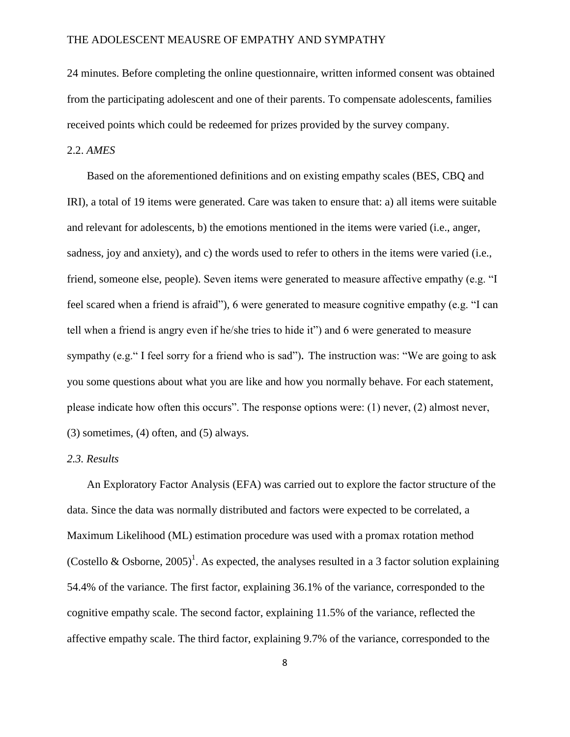24 minutes. Before completing the online questionnaire, written informed consent was obtained from the participating adolescent and one of their parents. To compensate adolescents, families received points which could be redeemed for prizes provided by the survey company.

# 2.2. *AMES*

Based on the aforementioned definitions and on existing empathy scales (BES, CBQ and IRI), a total of 19 items were generated. Care was taken to ensure that: a) all items were suitable and relevant for adolescents, b) the emotions mentioned in the items were varied (i.e., anger, sadness, joy and anxiety), and c) the words used to refer to others in the items were varied (i.e., friend, someone else, people). Seven items were generated to measure affective empathy (e.g. "I feel scared when a friend is afraid"), 6 were generated to measure cognitive empathy (e.g. "I can tell when a friend is angry even if he/she tries to hide it") and 6 were generated to measure sympathy (e.g." I feel sorry for a friend who is sad")**.** The instruction was: "We are going to ask you some questions about what you are like and how you normally behave. For each statement, please indicate how often this occurs". The response options were: (1) never, (2) almost never, (3) sometimes, (4) often, and (5) always.

#### *2.3. Results*

An Exploratory Factor Analysis (EFA) was carried out to explore the factor structure of the data. Since the data was normally distributed and factors were expected to be correlated, a Maximum Likelihood (ML) estimation procedure was used with a promax rotation method (Costello & Osborne, 2005)<sup>1</sup>. As expected, the analyses resulted in a 3 factor solution explaining 54.4% of the variance. The first factor, explaining 36.1% of the variance, corresponded to the cognitive empathy scale. The second factor, explaining 11.5% of the variance, reflected the affective empathy scale. The third factor, explaining 9.7% of the variance, corresponded to the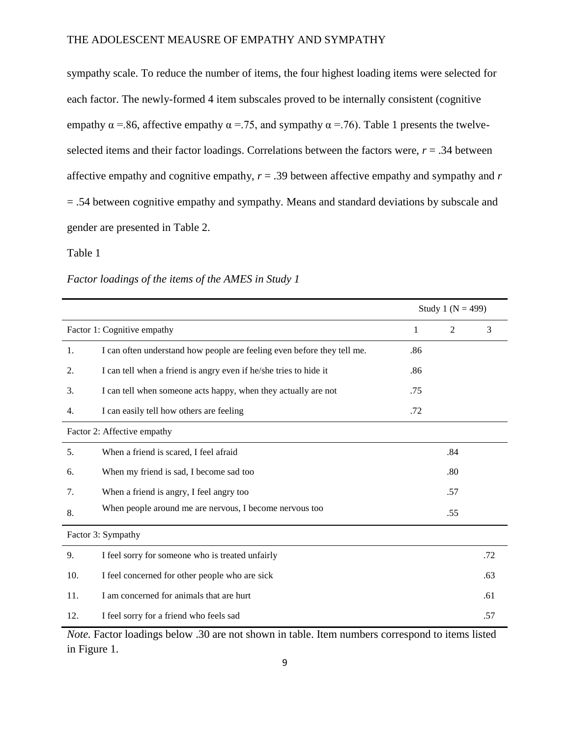sympathy scale. To reduce the number of items, the four highest loading items were selected for each factor. The newly-formed 4 item subscales proved to be internally consistent (cognitive empathy  $\alpha$  =.86, affective empathy  $\alpha$  =.75, and sympathy  $\alpha$  =.76). Table 1 presents the twelveselected items and their factor loadings. Correlations between the factors were,  $r = .34$  between affective empathy and cognitive empathy, *r* = .39 between affective empathy and sympathy and *r* = .54 between cognitive empathy and sympathy. Means and standard deviations by subscale and gender are presented in Table 2.

# Table 1

*Factor loadings of the items of the AMES in Study 1* 

|                             |                                                                         | Study 1 ( $N = 499$ ) |                |     |  |  |  |
|-----------------------------|-------------------------------------------------------------------------|-----------------------|----------------|-----|--|--|--|
| Factor 1: Cognitive empathy |                                                                         | $\mathbf{1}$          | $\overline{2}$ | 3   |  |  |  |
| 1.                          | I can often understand how people are feeling even before they tell me. | .86                   |                |     |  |  |  |
| 2.                          | I can tell when a friend is angry even if he/she tries to hide it       | .86                   |                |     |  |  |  |
| 3.                          | I can tell when someone acts happy, when they actually are not          | .75                   |                |     |  |  |  |
| 4.                          | I can easily tell how others are feeling                                | .72                   |                |     |  |  |  |
| Factor 2: Affective empathy |                                                                         |                       |                |     |  |  |  |
| 5.                          | When a friend is scared, I feel afraid                                  |                       | .84            |     |  |  |  |
| 6.                          | When my friend is sad, I become sad too                                 |                       | .80            |     |  |  |  |
| 7.                          | When a friend is angry, I feel angry too                                |                       | .57            |     |  |  |  |
| 8.                          | When people around me are nervous, I become nervous too                 |                       | .55            |     |  |  |  |
| Factor 3: Sympathy          |                                                                         |                       |                |     |  |  |  |
| 9.                          | I feel sorry for someone who is treated unfairly                        |                       |                | .72 |  |  |  |
| 10.                         | I feel concerned for other people who are sick                          |                       |                | .63 |  |  |  |
| 11.                         | I am concerned for animals that are hurt                                |                       |                | .61 |  |  |  |
| 12.                         | I feel sorry for a friend who feels sad                                 |                       |                | .57 |  |  |  |

*Note.* Factor loadings below .30 are not shown in table. Item numbers correspond to items listed in Figure 1.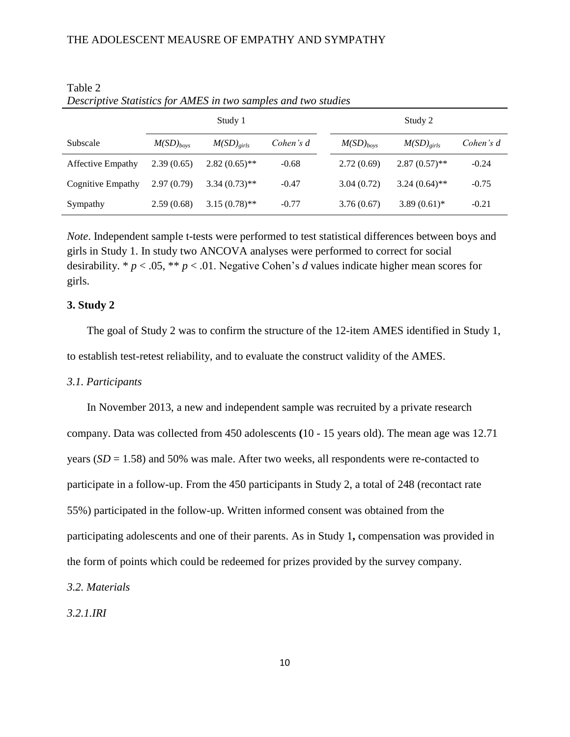|                          | Study 1        |                       |           | Study 2        |                       |           |  |
|--------------------------|----------------|-----------------------|-----------|----------------|-----------------------|-----------|--|
| Subscale                 | $M(SD)_{bovs}$ | $M(SD)_{\text{circ}}$ | Cohen's d | $M(SD)_{boys}$ | $M(SD)_{\text{circ}}$ | Cohen's d |  |
| <b>Affective Empathy</b> | 2.39(0.65)     | $2.82(0.65)$ **       | $-0.68$   | 2.72(0.69)     | $2.87(0.57)$ **       | $-0.24$   |  |
| Cognitive Empathy        | 2.97(0.79)     | $3.34(0.73)$ **       | $-0.47$   | 3.04(0.72)     | $3.24(0.64)$ **       | $-0.75$   |  |
| Sympathy                 | 2.59(0.68)     | $3.15(0.78)$ **       | $-0.77$   | 3.76(0.67)     | $3.89(0.61)$ *        | $-0.21$   |  |

| Table 2                                                        |  |  |  |
|----------------------------------------------------------------|--|--|--|
| Descriptive Statistics for AMES in two samples and two studies |  |  |  |

*Note*. Independent sample t-tests were performed to test statistical differences between boys and girls in Study 1. In study two ANCOVA analyses were performed to correct for social desirability. \* *p* < .05, \*\* *p* < .01. Negative Cohen's *d* values indicate higher mean scores for girls.

# **3. Study 2**

The goal of Study 2 was to confirm the structure of the 12-item AMES identified in Study 1, to establish test-retest reliability, and to evaluate the construct validity of the AMES.

#### *3.1. Participants*

In November 2013, a new and independent sample was recruited by a private research company. Data was collected from 450 adolescents **(**10 - 15 years old). The mean age was 12.71 years (*SD* = 1.58) and 50% was male. After two weeks, all respondents were re-contacted to participate in a follow-up. From the 450 participants in Study 2, a total of 248 (recontact rate 55%) participated in the follow-up. Written informed consent was obtained from the participating adolescents and one of their parents. As in Study 1**,** compensation was provided in the form of points which could be redeemed for prizes provided by the survey company.

#### *3.2. Materials*

*3.2.1.IRI*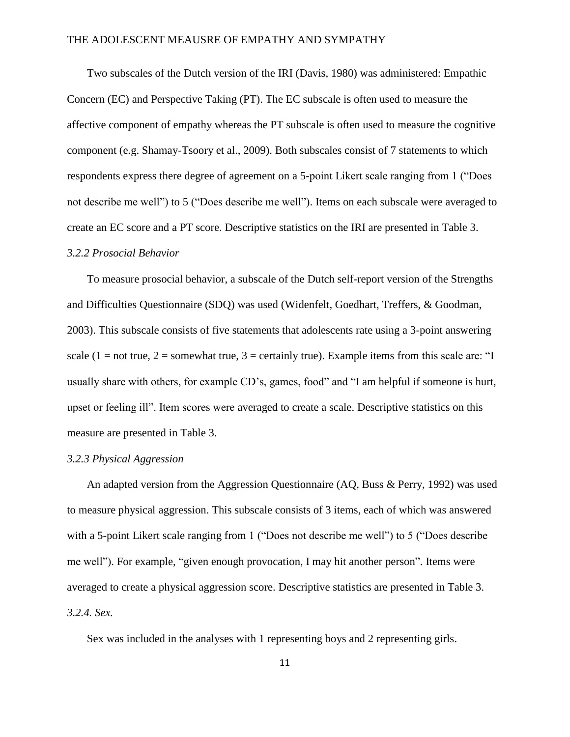Two subscales of the Dutch version of the IRI (Davis, 1980) was administered: Empathic Concern (EC) and Perspective Taking (PT). The EC subscale is often used to measure the affective component of empathy whereas the PT subscale is often used to measure the cognitive component (e.g. Shamay-Tsoory et al., 2009). Both subscales consist of 7 statements to which respondents express there degree of agreement on a 5-point Likert scale ranging from 1 ("Does not describe me well") to 5 ("Does describe me well"). Items on each subscale were averaged to create an EC score and a PT score. Descriptive statistics on the IRI are presented in Table 3.

## *3.2.2 Prosocial Behavior*

To measure prosocial behavior, a subscale of the Dutch self-report version of the Strengths and Difficulties Questionnaire (SDQ) was used (Widenfelt, Goedhart, Treffers, & Goodman, 2003). This subscale consists of five statements that adolescents rate using a 3-point answering scale (1 = not true, 2 = somewhat true, 3 = certainly true). Example items from this scale are: "I usually share with others, for example CD's, games, food" and "I am helpful if someone is hurt, upset or feeling ill". Item scores were averaged to create a scale. Descriptive statistics on this measure are presented in Table 3.

# *3.2.3 Physical Aggression*

An adapted version from the Aggression Questionnaire (AQ, Buss & Perry, 1992) was used to measure physical aggression. This subscale consists of 3 items, each of which was answered with a 5-point Likert scale ranging from 1 ("Does not describe me well") to 5 ("Does describe me well"). For example, "given enough provocation, I may hit another person". Items were averaged to create a physical aggression score. Descriptive statistics are presented in Table 3. *3.2.4. Sex.* 

Sex was included in the analyses with 1 representing boys and 2 representing girls.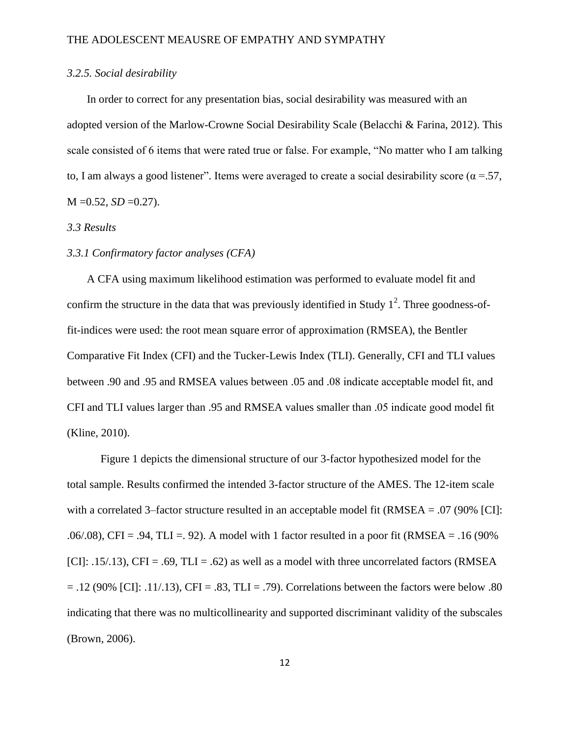# *3.2.5. Social desirability*

In order to correct for any presentation bias, social desirability was measured with an adopted version of the Marlow-Crowne Social Desirability Scale (Belacchi & Farina, 2012). This scale consisted of 6 items that were rated true or false. For example, "No matter who I am talking to, I am always a good listener". Items were averaged to create a social desirability score ( $\alpha = 57$ ,  $M = 0.52$ ,  $SD = 0.27$ ).

## *3.3 Results*

#### *3.3.1 Confirmatory factor analyses (CFA)*

A CFA using maximum likelihood estimation was performed to evaluate model fit and confirm the structure in the data that was previously identified in Study  $1^2$ . Three goodness-offit-indices were used: the root mean square error of approximation (RMSEA), the Bentler Comparative Fit Index (CFI) and the Tucker-Lewis Index (TLI). Generally, CFI and TLI values between .90 and .95 and RMSEA values between .05 and .08 indicate acceptable model fit, and CFI and TLI values larger than .95 and RMSEA values smaller than .05 indicate good model fit (Kline, 2010).

Figure 1 depicts the dimensional structure of our 3-factor hypothesized model for the total sample. Results confirmed the intended 3-factor structure of the AMES. The 12-item scale with a correlated 3–factor structure resulted in an acceptable model fit ( $RMSEA = .07$  (90% [CI]:  $.06/08$ , CFI = .94, TLI = .92). A model with 1 factor resulted in a poor fit (RMSEA = .16 (90%).  $[CI]: .15/.13]$ ,  $CFI = .69$ ,  $TLI = .62$ ) as well as a model with three uncorrelated factors (RMSEA  $= .12$  (90% [CI]: .11/.13), CFI = .83, TLI = .79). Correlations between the factors were below .80 indicating that there was no multicollinearity and supported discriminant validity of the subscales (Brown, 2006).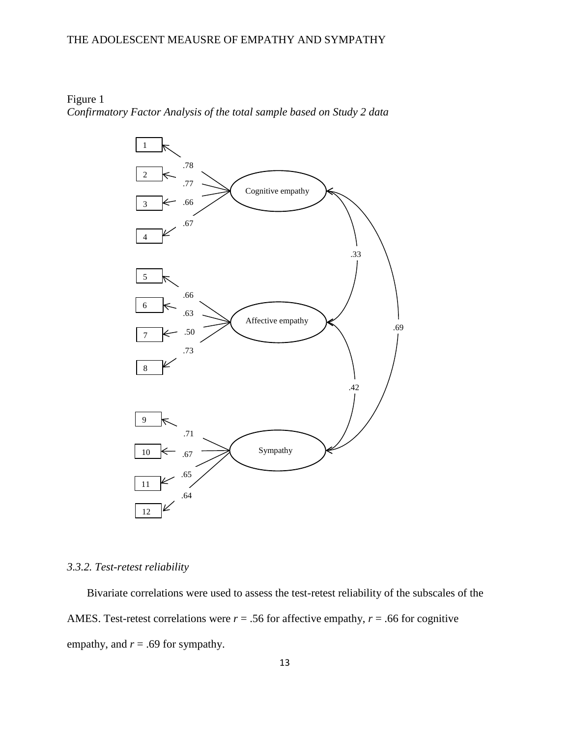Figure 1 *Confirmatory Factor Analysis of the total sample based on Study 2 data* 



# *3.3.2. Test-retest reliability*

Bivariate correlations were used to assess the test-retest reliability of the subscales of the AMES. Test-retest correlations were  $r = .56$  for affective empathy,  $r = .66$  for cognitive empathy, and  $r = .69$  for sympathy.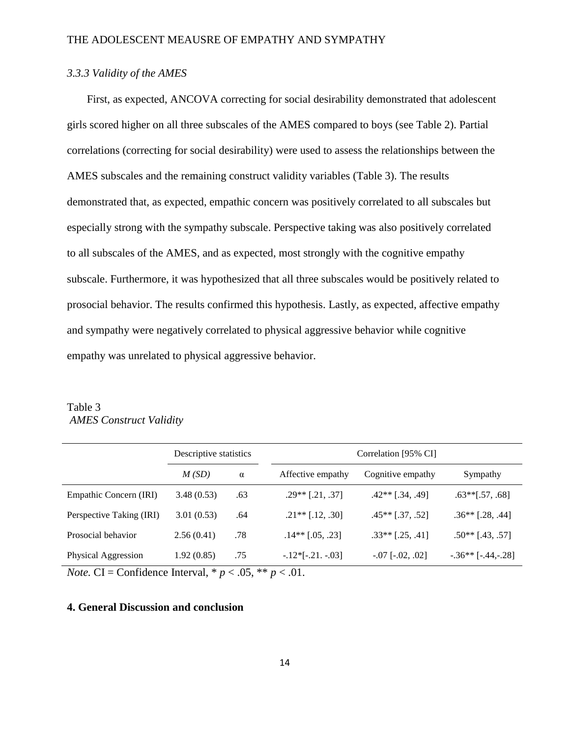# *3.3.3 Validity of the AMES*

First, as expected, ANCOVA correcting for social desirability demonstrated that adolescent girls scored higher on all three subscales of the AMES compared to boys (see Table 2). Partial correlations (correcting for social desirability) were used to assess the relationships between the AMES subscales and the remaining construct validity variables (Table 3). The results demonstrated that, as expected, empathic concern was positively correlated to all subscales but especially strong with the sympathy subscale. Perspective taking was also positively correlated to all subscales of the AMES, and as expected, most strongly with the cognitive empathy subscale. Furthermore, it was hypothesized that all three subscales would be positively related to prosocial behavior. The results confirmed this hypothesis. Lastly, as expected, affective empathy and sympathy were negatively correlated to physical aggressive behavior while cognitive empathy was unrelated to physical aggressive behavior.

Table 3 *AMES Construct Validity*

|                          | Descriptive statistics |          |                     | Correlation [95% CI]   |                          |  |  |  |
|--------------------------|------------------------|----------|---------------------|------------------------|--------------------------|--|--|--|
|                          | M(SD)                  | $\alpha$ | Affective empathy   | Cognitive empathy      | Sympathy                 |  |  |  |
| Empathic Concern (IRI)   | 3.48(0.53)             | .63      | $.29**$ [.21, .37]  | $.42**$ [.34, .49]     | $.63**$ [.57, .68]       |  |  |  |
| Perspective Taking (IRI) | 3.01(0.53)             | .64      | $.21**$ [.12, .30]  | $.45**$ [.37, .52]     | $.36**$ [.28, .44]       |  |  |  |
| Prosocial behavior       | 2.56(0.41)             | .78      | $.14**$ [.05, .23]  | $.33**$ [.25, .41]     | $.50**$ [.43, .57]       |  |  |  |
| Physical Aggression      | 1.92(0.85)             | .75      | $-.12*[-.21. -.03]$ | $-.07$ [ $-.02, .02$ ] | $-.36**$ [ $-.44,-.28$ ] |  |  |  |

*Note.* CI = Confidence Interval,  $p < .05$ ,  $p \le .01$ .

#### **4. General Discussion and conclusion**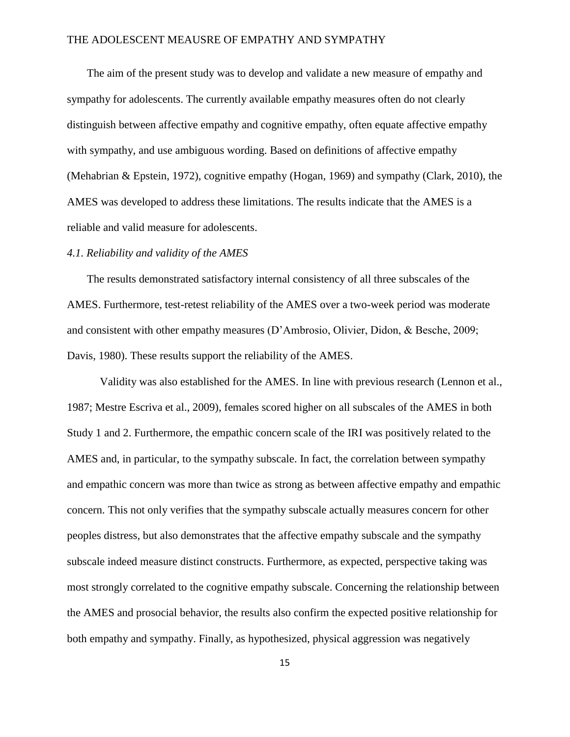The aim of the present study was to develop and validate a new measure of empathy and sympathy for adolescents. The currently available empathy measures often do not clearly distinguish between affective empathy and cognitive empathy, often equate affective empathy with sympathy, and use ambiguous wording. Based on definitions of affective empathy (Mehabrian & Epstein, 1972), cognitive empathy (Hogan, 1969) and sympathy (Clark, 2010), the AMES was developed to address these limitations. The results indicate that the AMES is a reliable and valid measure for adolescents.

# *4.1. Reliability and validity of the AMES*

The results demonstrated satisfactory internal consistency of all three subscales of the AMES. Furthermore, test-retest reliability of the AMES over a two-week period was moderate and consistent with other empathy measures (D'Ambrosio, Olivier, Didon, & Besche, 2009; Davis, 1980). These results support the reliability of the AMES.

Validity was also established for the AMES. In line with previous research (Lennon et al., 1987; Mestre Escriva et al., 2009), females scored higher on all subscales of the AMES in both Study 1 and 2. Furthermore, the empathic concern scale of the IRI was positively related to the AMES and, in particular, to the sympathy subscale. In fact, the correlation between sympathy and empathic concern was more than twice as strong as between affective empathy and empathic concern. This not only verifies that the sympathy subscale actually measures concern for other peoples distress, but also demonstrates that the affective empathy subscale and the sympathy subscale indeed measure distinct constructs. Furthermore, as expected, perspective taking was most strongly correlated to the cognitive empathy subscale. Concerning the relationship between the AMES and prosocial behavior, the results also confirm the expected positive relationship for both empathy and sympathy. Finally, as hypothesized, physical aggression was negatively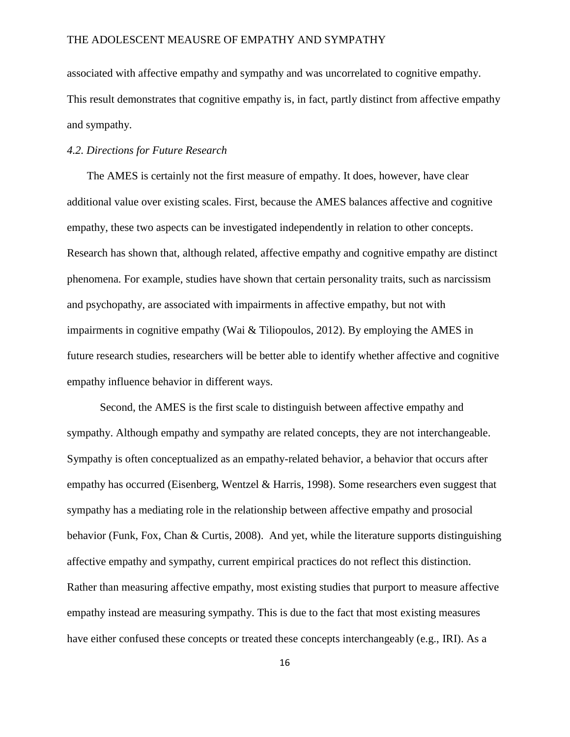associated with affective empathy and sympathy and was uncorrelated to cognitive empathy. This result demonstrates that cognitive empathy is, in fact, partly distinct from affective empathy and sympathy.

## *4.2. Directions for Future Research*

The AMES is certainly not the first measure of empathy. It does, however, have clear additional value over existing scales. First, because the AMES balances affective and cognitive empathy, these two aspects can be investigated independently in relation to other concepts. Research has shown that, although related, affective empathy and cognitive empathy are distinct phenomena. For example, studies have shown that certain personality traits, such as narcissism and psychopathy, are associated with impairments in affective empathy, but not with impairments in cognitive empathy (Wai & Tiliopoulos, 2012). By employing the AMES in future research studies, researchers will be better able to identify whether affective and cognitive empathy influence behavior in different ways.

Second, the AMES is the first scale to distinguish between affective empathy and sympathy. Although empathy and sympathy are related concepts, they are not interchangeable. Sympathy is often conceptualized as an empathy-related behavior, a behavior that occurs after empathy has occurred (Eisenberg, Wentzel & Harris, 1998). Some researchers even suggest that sympathy has a mediating role in the relationship between affective empathy and prosocial behavior (Funk, Fox, Chan & Curtis, 2008). And yet, while the literature supports distinguishing affective empathy and sympathy, current empirical practices do not reflect this distinction. Rather than measuring affective empathy, most existing studies that purport to measure affective empathy instead are measuring sympathy. This is due to the fact that most existing measures have either confused these concepts or treated these concepts interchangeably (e.g., IRI). As a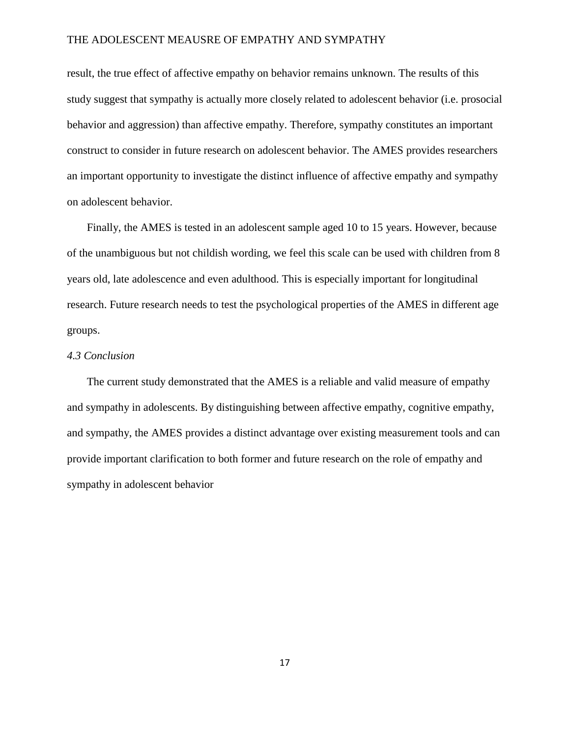result, the true effect of affective empathy on behavior remains unknown. The results of this study suggest that sympathy is actually more closely related to adolescent behavior (i.e. prosocial behavior and aggression) than affective empathy. Therefore, sympathy constitutes an important construct to consider in future research on adolescent behavior. The AMES provides researchers an important opportunity to investigate the distinct influence of affective empathy and sympathy on adolescent behavior.

Finally, the AMES is tested in an adolescent sample aged 10 to 15 years. However, because of the unambiguous but not childish wording, we feel this scale can be used with children from 8 years old, late adolescence and even adulthood. This is especially important for longitudinal research. Future research needs to test the psychological properties of the AMES in different age groups.

## *4.3 Conclusion*

The current study demonstrated that the AMES is a reliable and valid measure of empathy and sympathy in adolescents. By distinguishing between affective empathy, cognitive empathy, and sympathy, the AMES provides a distinct advantage over existing measurement tools and can provide important clarification to both former and future research on the role of empathy and sympathy in adolescent behavior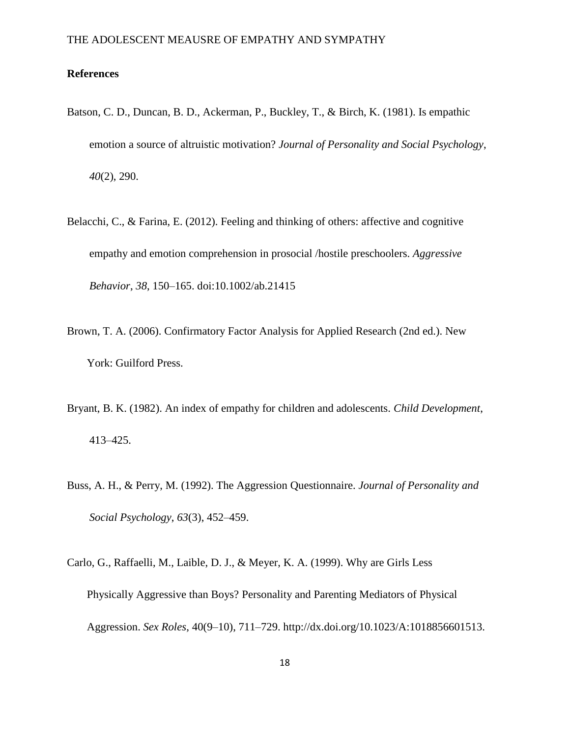# **References**

- Batson, C. D., Duncan, B. D., Ackerman, P., Buckley, T., & Birch, K. (1981). Is empathic emotion a source of altruistic motivation? *Journal of Personality and Social Psychology*, *40*(2), 290.
- Belacchi, C., & Farina, E. (2012). Feeling and thinking of others: affective and cognitive empathy and emotion comprehension in prosocial /hostile preschoolers. *Aggressive Behavior*, *38*, 150–165. doi:10.1002/ab.21415
- Brown, T. A. (2006). Confirmatory Factor Analysis for Applied Research (2nd ed.). New York: Guilford Press.
- Bryant, B. K. (1982). An index of empathy for children and adolescents. *Child Development*, 413–425.
- Buss, A. H., & Perry, M. (1992). The Aggression Questionnaire. *Journal of Personality and Social Psychology*, *63*(3), 452–459.
- Carlo, G., Raffaelli, M., Laible, D. J., & Meyer, K. A. (1999). Why are Girls Less Physically Aggressive than Boys? Personality and Parenting Mediators of Physical Aggression. *Sex Roles*, 40(9–10), 711–729. http://dx.doi.org/10.1023/A:1018856601513.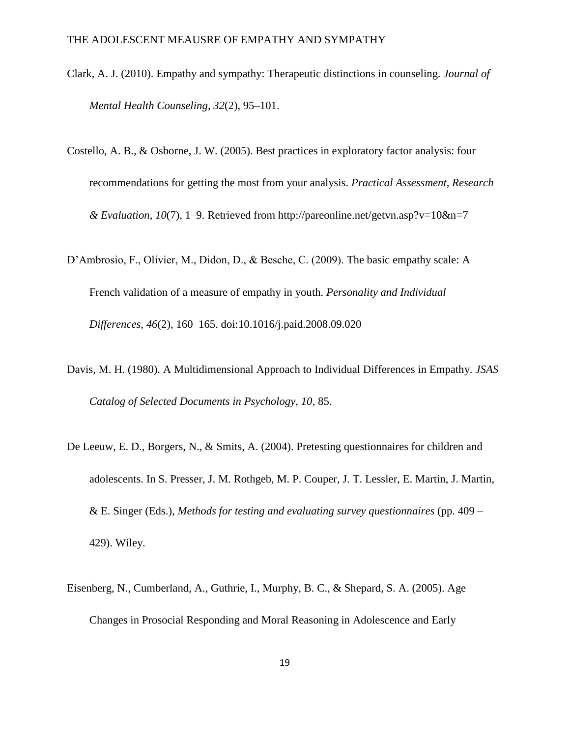- Clark, A. J. (2010). Empathy and sympathy: Therapeutic distinctions in counseling. *Journal of Mental Health Counseling*, *32*(2), 95–101.
- Costello, A. B., & Osborne, J. W. (2005). Best practices in exploratory factor analysis: four recommendations for getting the most from your analysis. *Practical Assessment, Research & Evaluation*, *10*(7), 1–9. Retrieved from http://pareonline.net/getvn.asp?v=10&n=7
- D'Ambrosio, F., Olivier, M., Didon, D., & Besche, C. (2009). The basic empathy scale: A French validation of a measure of empathy in youth. *Personality and Individual Differences*, *46*(2), 160–165. doi:10.1016/j.paid.2008.09.020
- Davis, M. H. (1980). A Multidimensional Approach to Individual Differences in Empathy. *JSAS Catalog of Selected Documents in Psychology*, *10*, 85.
- De Leeuw, E. D., Borgers, N., & Smits, A. (2004). Pretesting questionnaires for children and adolescents. In S. Presser, J. M. Rothgeb, M. P. Couper, J. T. Lessler, E. Martin, J. Martin, & E. Singer (Eds.), *Methods for testing and evaluating survey questionnaires* (pp. 409 – 429). Wiley.
- Eisenberg, N., Cumberland, A., Guthrie, I., Murphy, B. C., & Shepard, S. A. (2005). Age Changes in Prosocial Responding and Moral Reasoning in Adolescence and Early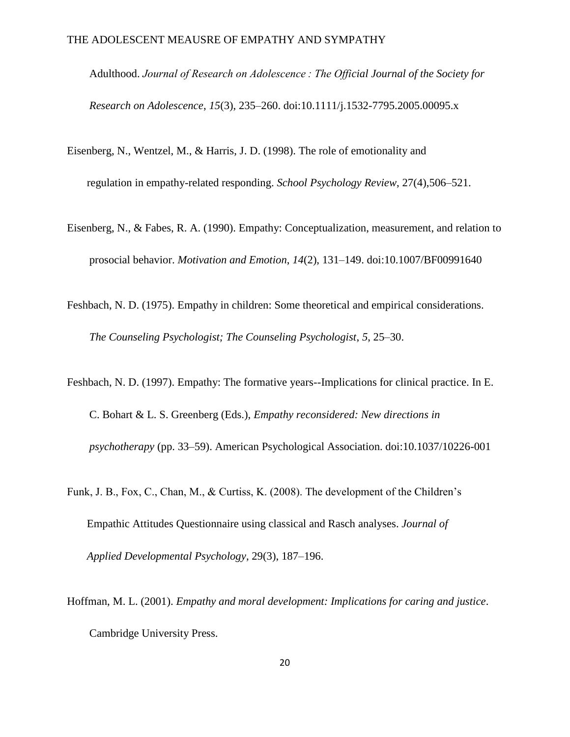Adulthood. *Journal of Research on Adolescence : The Official Journal of the Society for Research on Adolescence*, *15*(3), 235–260. doi:10.1111/j.1532-7795.2005.00095.x

- Eisenberg, N., Wentzel, M., & Harris, J. D. (1998). The role of emotionality and regulation in empathy-related responding. *School Psychology Review*, 27(4),506–521.
- Eisenberg, N., & Fabes, R. A. (1990). Empathy: Conceptualization, measurement, and relation to prosocial behavior. *Motivation and Emotion*, *14*(2), 131–149. doi:10.1007/BF00991640
- Feshbach, N. D. (1975). Empathy in children: Some theoretical and empirical considerations. *The Counseling Psychologist; The Counseling Psychologist*, *5*, 25–30.
- Feshbach, N. D. (1997). Empathy: The formative years--Implications for clinical practice. In E. C. Bohart & L. S. Greenberg (Eds.), *Empathy reconsidered: New directions in psychotherapy* (pp. 33–59). American Psychological Association. doi:10.1037/10226-001
- Funk, J. B., Fox, C., Chan, M., & Curtiss, K. (2008). The development of the Children's Empathic Attitudes Questionnaire using classical and Rasch analyses. *Journal of Applied Developmental Psychology*, 29(3), 187–196.
- Hoffman, M. L. (2001). *Empathy and moral development: Implications for caring and justice*. Cambridge University Press.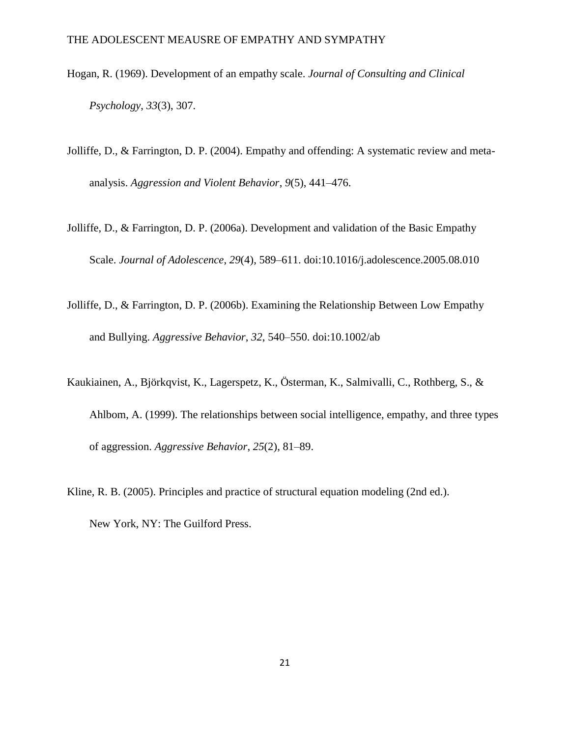- Hogan, R. (1969). Development of an empathy scale. *Journal of Consulting and Clinical Psychology*, *33*(3), 307.
- Jolliffe, D., & Farrington, D. P. (2004). Empathy and offending: A systematic review and metaanalysis. *Aggression and Violent Behavior*, *9*(5), 441–476.
- Jolliffe, D., & Farrington, D. P. (2006a). Development and validation of the Basic Empathy Scale. *Journal of Adolescence*, *29*(4), 589–611. doi:10.1016/j.adolescence.2005.08.010
- Jolliffe, D., & Farrington, D. P. (2006b). Examining the Relationship Between Low Empathy and Bullying. *Aggressive Behavior*, *32*, 540–550. doi:10.1002/ab
- Kaukiainen, A., Björkqvist, K., Lagerspetz, K., Österman, K., Salmivalli, C., Rothberg, S., & Ahlbom, A. (1999). The relationships between social intelligence, empathy, and three types of aggression. *Aggressive Behavior*, *25*(2), 81–89.
- Kline, R. B. (2005). Principles and practice of structural equation modeling (2nd ed.). New York, NY: The Guilford Press.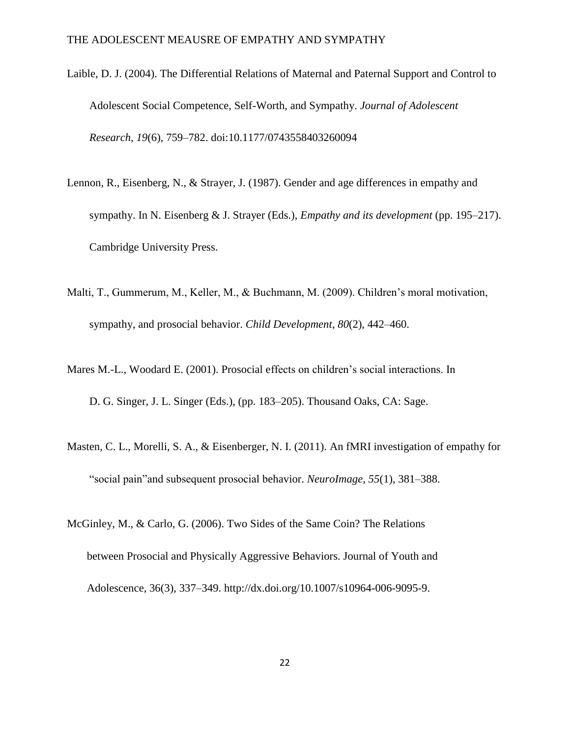- Laible, D. J. (2004). The Differential Relations of Maternal and Paternal Support and Control to Adolescent Social Competence, Self-Worth, and Sympathy. *Journal of Adolescent Research*, *19*(6), 759–782. doi:10.1177/0743558403260094
- Lennon, R., Eisenberg, N., & Strayer, J. (1987). Gender and age differences in empathy and sympathy. In N. Eisenberg & J. Strayer (Eds.), *Empathy and its development* (pp. 195–217). Cambridge University Press.
- Malti, T., Gummerum, M., Keller, M., & Buchmann, M. (2009). Children's moral motivation, sympathy, and prosocial behavior. *Child Development*, *80*(2), 442–460.
- Mares M.-L., Woodard E. (2001). Prosocial effects on children's social interactions. In D. G. Singer, J. L. Singer (Eds.), (pp. 183–205). Thousand Oaks, CA: Sage.
- Masten, C. L., Morelli, S. A., & Eisenberger, N. I. (2011). An fMRI investigation of empathy for "social pain"and subsequent prosocial behavior. *NeuroImage*, *55*(1), 381–388.
- McGinley, M., & Carlo, G. (2006). Two Sides of the Same Coin? The Relations between Prosocial and Physically Aggressive Behaviors. Journal of Youth and Adolescence, 36(3), 337–349. http://dx.doi.org/10.1007/s10964-006-9095-9.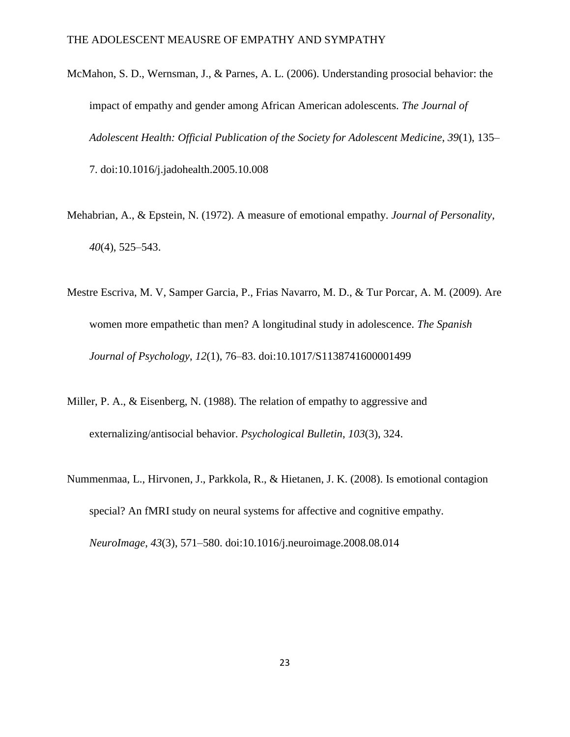McMahon, S. D., Wernsman, J., & Parnes, A. L. (2006). Understanding prosocial behavior: the impact of empathy and gender among African American adolescents. *The Journal of Adolescent Health: Official Publication of the Society for Adolescent Medicine*, *39*(1), 135– 7. doi:10.1016/j.jadohealth.2005.10.008

Mehabrian, A., & Epstein, N. (1972). A measure of emotional empathy. *Journal of Personality*, *40*(4), 525–543.

- Mestre Escriva, M. V, Samper Garcia, P., Frias Navarro, M. D., & Tur Porcar, A. M. (2009). Are women more empathetic than men? A longitudinal study in adolescence. *The Spanish Journal of Psychology*, *12*(1), 76–83. doi:10.1017/S1138741600001499
- Miller, P. A., & Eisenberg, N. (1988). The relation of empathy to aggressive and externalizing/antisocial behavior. *Psychological Bulletin*, *103*(3), 324.

*NeuroImage*, *43*(3), 571–580. doi:10.1016/j.neuroimage.2008.08.014

Nummenmaa, L., Hirvonen, J., Parkkola, R., & Hietanen, J. K. (2008). Is emotional contagion special? An fMRI study on neural systems for affective and cognitive empathy.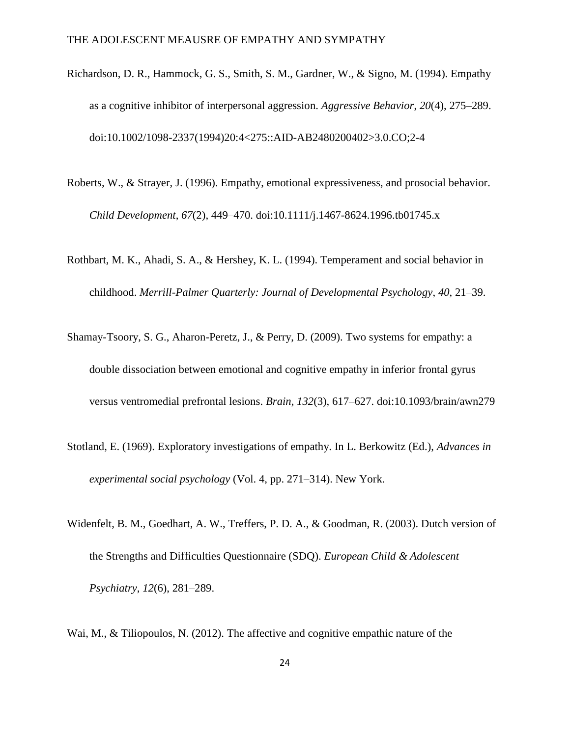- Richardson, D. R., Hammock, G. S., Smith, S. M., Gardner, W., & Signo, M. (1994). Empathy as a cognitive inhibitor of interpersonal aggression. *Aggressive Behavior*, *20*(4), 275–289. doi:10.1002/1098-2337(1994)20:4<275::AID-AB2480200402>3.0.CO;2-4
- Roberts, W., & Strayer, J. (1996). Empathy, emotional expressiveness, and prosocial behavior. *Child Development*, *67*(2), 449–470. doi:10.1111/j.1467-8624.1996.tb01745.x
- Rothbart, M. K., Ahadi, S. A., & Hershey, K. L. (1994). Temperament and social behavior in childhood. *Merrill-Palmer Quarterly: Journal of Developmental Psychology*, *40*, 21–39.
- Shamay-Tsoory, S. G., Aharon-Peretz, J., & Perry, D. (2009). Two systems for empathy: a double dissociation between emotional and cognitive empathy in inferior frontal gyrus versus ventromedial prefrontal lesions. *Brain*, *132*(3), 617–627. doi:10.1093/brain/awn279
- Stotland, E. (1969). Exploratory investigations of empathy. In L. Berkowitz (Ed.), *Advances in experimental social psychology* (Vol. 4, pp. 271–314). New York.
- Widenfelt, B. M., Goedhart, A. W., Treffers, P. D. A., & Goodman, R. (2003). Dutch version of the Strengths and Difficulties Questionnaire (SDQ). *European Child & Adolescent Psychiatry*, *12*(6), 281–289.
- Wai, M., & Tiliopoulos, N. (2012). The affective and cognitive empathic nature of the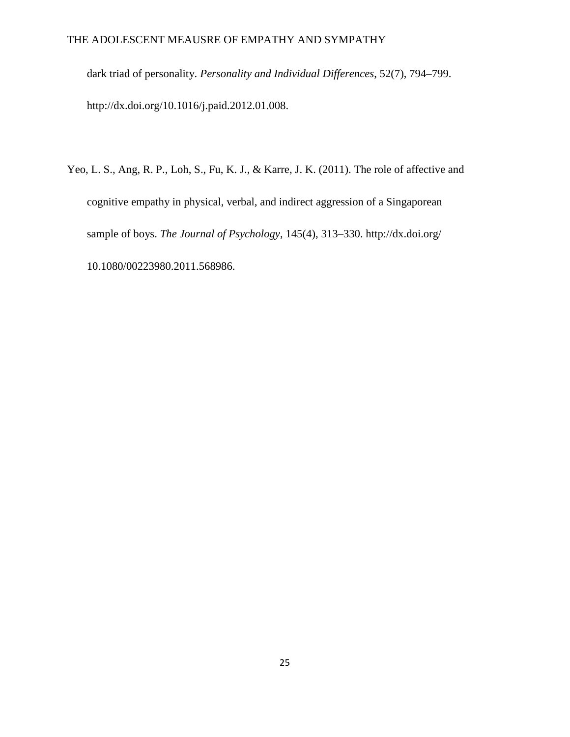dark triad of personality. *Personality and Individual Differences*, 52(7), 794–799. http://dx.doi.org/10.1016/j.paid.2012.01.008.

Yeo, L. S., Ang, R. P., Loh, S., Fu, K. J., & Karre, J. K. (2011). The role of affective and cognitive empathy in physical, verbal, and indirect aggression of a Singaporean sample of boys. *The Journal of Psychology*, 145(4), 313–330. http://dx.doi.org/ 10.1080/00223980.2011.568986.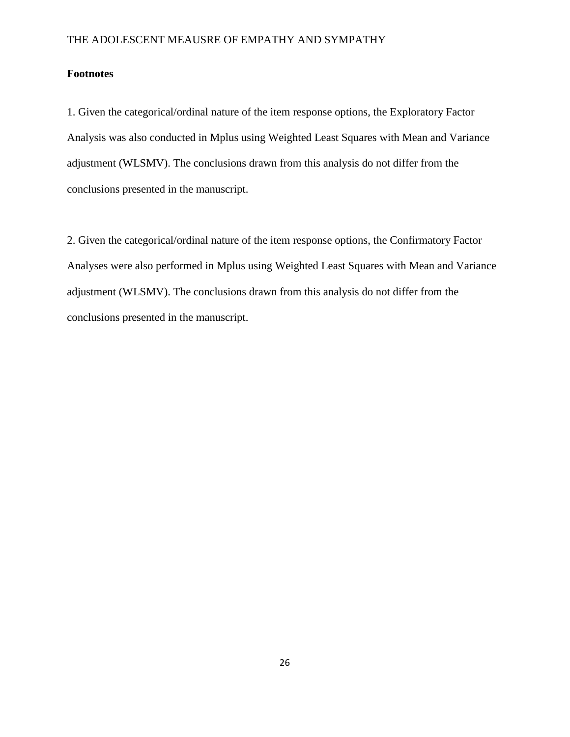# **Footnotes**

1. Given the categorical/ordinal nature of the item response options, the Exploratory Factor Analysis was also conducted in Mplus using Weighted Least Squares with Mean and Variance adjustment (WLSMV). The conclusions drawn from this analysis do not differ from the conclusions presented in the manuscript.

2. Given the categorical/ordinal nature of the item response options, the Confirmatory Factor Analyses were also performed in Mplus using Weighted Least Squares with Mean and Variance adjustment (WLSMV). The conclusions drawn from this analysis do not differ from the conclusions presented in the manuscript.